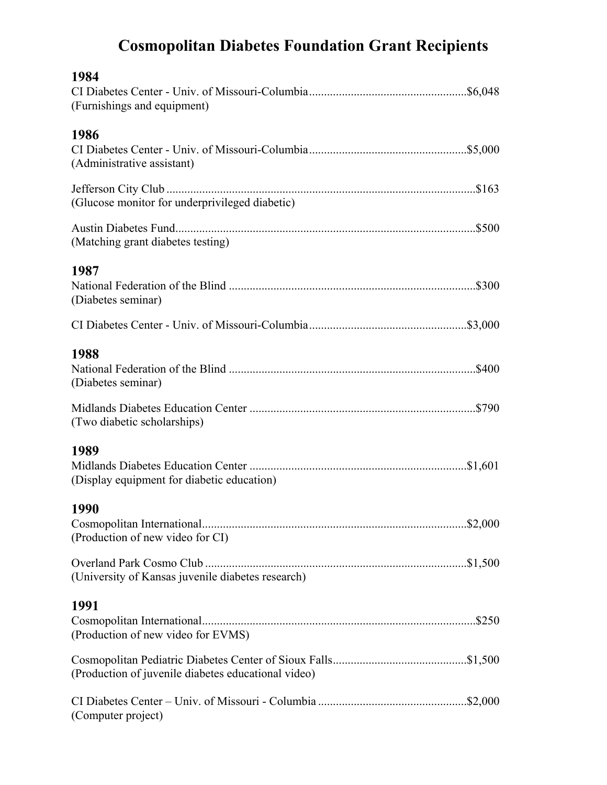## **Cosmopolitan Diabetes Foundation Grant Recipients**

| 1984<br>(Furnishings and equipment)                 |  |
|-----------------------------------------------------|--|
| 1986<br>(Administrative assistant)                  |  |
| (Glucose monitor for underprivileged diabetic)      |  |
| (Matching grant diabetes testing)                   |  |
| 1987<br>(Diabetes seminar)                          |  |
|                                                     |  |
| 1988<br>(Diabetes seminar)                          |  |
| (Two diabetic scholarships)                         |  |
| 1989<br>(Display equipment for diabetic education)  |  |
| 1990<br>(Production of new video for CI)            |  |
| (University of Kansas juvenile diabetes research)   |  |
| 1991<br>(Production of new video for EVMS)          |  |
| (Production of juvenile diabetes educational video) |  |
| (Computer project)                                  |  |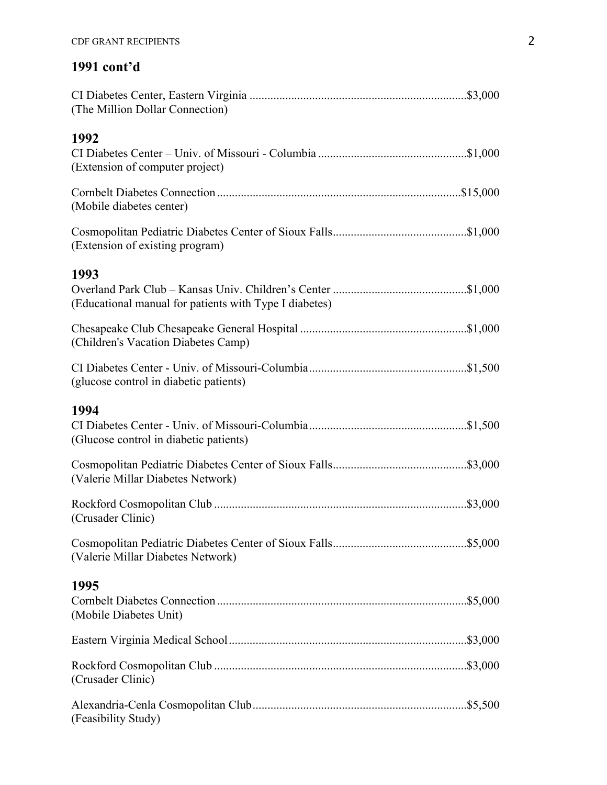## **1991 cont'd**

| (The Million Dollar Connection)                                |  |
|----------------------------------------------------------------|--|
| 1992<br>(Extension of computer project)                        |  |
| (Mobile diabetes center)                                       |  |
| (Extension of existing program)                                |  |
| 1993<br>(Educational manual for patients with Type I diabetes) |  |
| (Children's Vacation Diabetes Camp)                            |  |
| (glucose control in diabetic patients)                         |  |
| 1994<br>(Glucose control in diabetic patients)                 |  |
| (Valerie Millar Diabetes Network)                              |  |
| (Crusader Clinic)                                              |  |
| (Valerie Millar Diabetes Network)                              |  |
| 1995<br>(Mobile Diabetes Unit)                                 |  |
|                                                                |  |
| (Crusader Clinic)                                              |  |
| (Feasibility Study)                                            |  |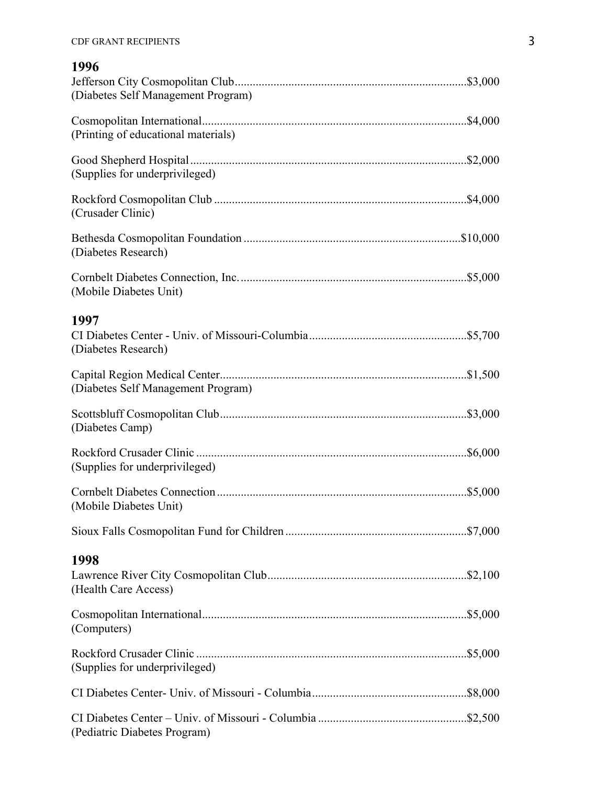## **1996**

| (Diabetes Self Management Program)  |         |
|-------------------------------------|---------|
| (Printing of educational materials) |         |
| (Supplies for underprivileged)      |         |
| (Crusader Clinic)                   |         |
| (Diabetes Research)                 |         |
| (Mobile Diabetes Unit)              | \$5,000 |
| 1997<br>(Diabetes Research)         |         |
| (Diabetes Self Management Program)  |         |
| (Diabetes Camp)                     |         |
| (Supplies for underprivileged)      |         |
| (Mobile Diabetes Unit)              |         |
|                                     |         |
| 1998<br>(Health Care Access)        |         |
| (Computers)                         |         |
| (Supplies for underprivileged)      |         |
|                                     |         |
| (Pediatric Diabetes Program)        |         |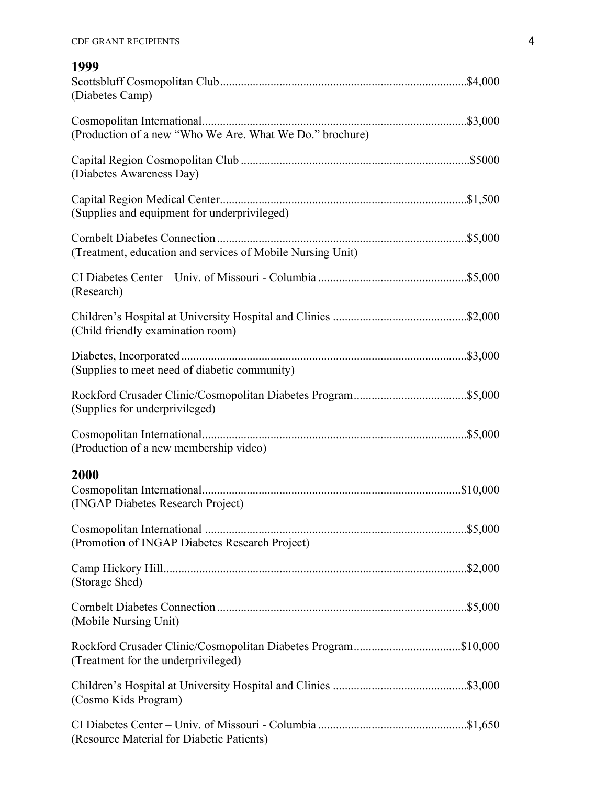| 1999<br>(Diabetes Camp)                                    |  |
|------------------------------------------------------------|--|
| (Production of a new "Who We Are. What We Do." brochure)   |  |
| (Diabetes Awareness Day)                                   |  |
| (Supplies and equipment for underprivileged)               |  |
| (Treatment, education and services of Mobile Nursing Unit) |  |
| (Research)                                                 |  |
| (Child friendly examination room)                          |  |
| (Supplies to meet need of diabetic community)              |  |
| (Supplies for underprivileged)                             |  |
| (Production of a new membership video)                     |  |
| 2000<br>(INGAP Diabetes Research Project)                  |  |
| (Promotion of INGAP Diabetes Research Project)             |  |
| (Storage Shed)                                             |  |
| (Mobile Nursing Unit)                                      |  |
| (Treatment for the underprivileged)                        |  |
| (Cosmo Kids Program)                                       |  |
| (Resource Material for Diabetic Patients)                  |  |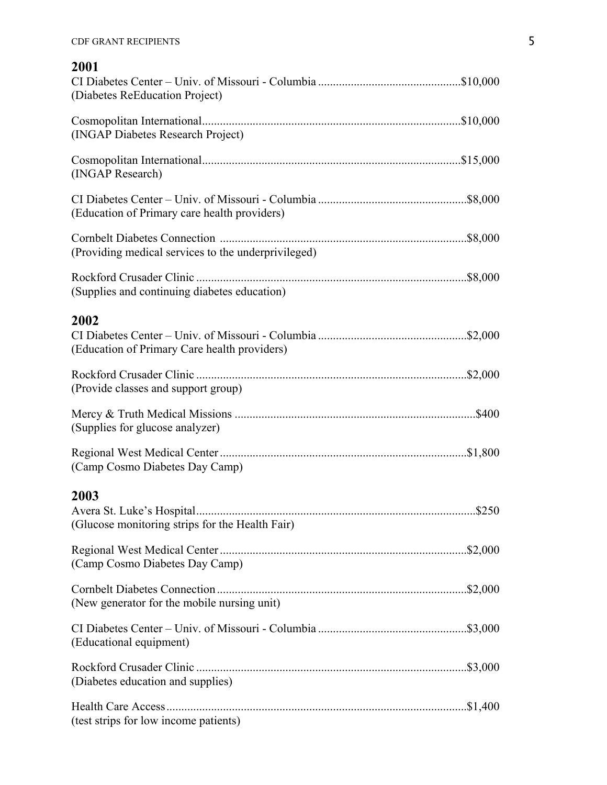| 2001<br>(Diabetes ReEducation Project)                  |
|---------------------------------------------------------|
| (INGAP Diabetes Research Project)                       |
| (INGAP Research)                                        |
| (Education of Primary care health providers)            |
| (Providing medical services to the underprivileged)     |
| (Supplies and continuing diabetes education)            |
| 2002<br>(Education of Primary Care health providers)    |
| (Provide classes and support group)                     |
| (Supplies for glucose analyzer)                         |
| (Camp Cosmo Diabetes Day Camp)                          |
| 2003<br>(Glucose monitoring strips for the Health Fair) |
| (Camp Cosmo Diabetes Day Camp)                          |
| (New generator for the mobile nursing unit)             |
| (Educational equipment)                                 |
| (Diabetes education and supplies)                       |
| (test strips for low income patients)                   |